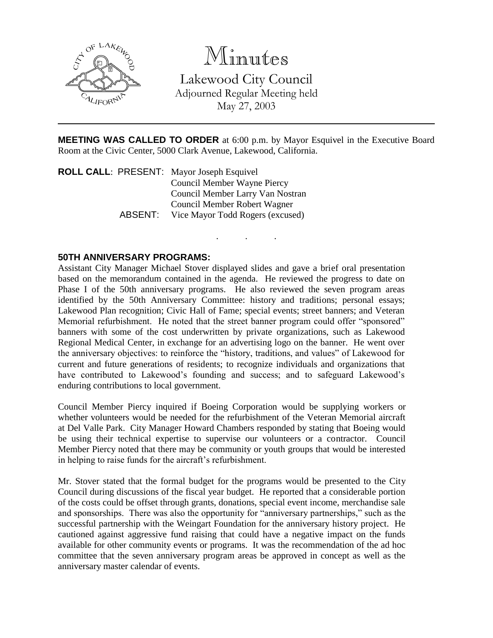

## Minutes

Lakewood City Council Adjourned Regular Meeting held May 27, 2003

**MEETING WAS CALLED TO ORDER** at 6:00 p.m. by Mayor Esquivel in the Executive Board Room at the Civic Center, 5000 Clark Avenue, Lakewood, California.

. . .

**ROLL CALL**: PRESENT: Mayor Joseph Esquivel Council Member Wayne Piercy Council Member Larry Van Nostran Council Member Robert Wagner ABSENT: Vice Mayor Todd Rogers (excused)

## **50TH ANNIVERSARY PROGRAMS:**

Assistant City Manager Michael Stover displayed slides and gave a brief oral presentation based on the memorandum contained in the agenda. He reviewed the progress to date on Phase I of the 50th anniversary programs. He also reviewed the seven program areas identified by the 50th Anniversary Committee: history and traditions; personal essays; Lakewood Plan recognition; Civic Hall of Fame; special events; street banners; and Veteran Memorial refurbishment. He noted that the street banner program could offer "sponsored" banners with some of the cost underwritten by private organizations, such as Lakewood Regional Medical Center, in exchange for an advertising logo on the banner. He went over the anniversary objectives: to reinforce the "history, traditions, and values" of Lakewood for current and future generations of residents; to recognize individuals and organizations that have contributed to Lakewood's founding and success; and to safeguard Lakewood's enduring contributions to local government.

Council Member Piercy inquired if Boeing Corporation would be supplying workers or whether volunteers would be needed for the refurbishment of the Veteran Memorial aircraft at Del Valle Park. City Manager Howard Chambers responded by stating that Boeing would be using their technical expertise to supervise our volunteers or a contractor. Council Member Piercy noted that there may be community or youth groups that would be interested in helping to raise funds for the aircraft's refurbishment.

Mr. Stover stated that the formal budget for the programs would be presented to the City Council during discussions of the fiscal year budget. He reported that a considerable portion of the costs could be offset through grants, donations, special event income, merchandise sale and sponsorships. There was also the opportunity for "anniversary partnerships," such as the successful partnership with the Weingart Foundation for the anniversary history project. He cautioned against aggressive fund raising that could have a negative impact on the funds available for other community events or programs. It was the recommendation of the ad hoc committee that the seven anniversary program areas be approved in concept as well as the anniversary master calendar of events.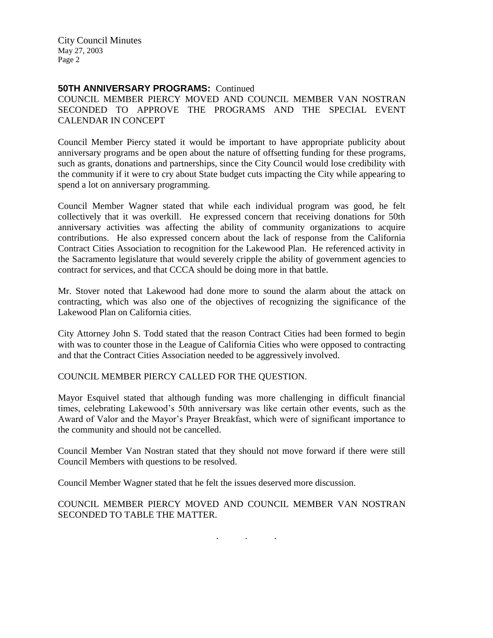City Council Minutes May 27, 2003 Page 2

## **50TH ANNIVERSARY PROGRAMS:** Continued

COUNCIL MEMBER PIERCY MOVED AND COUNCIL MEMBER VAN NOSTRAN SECONDED TO APPROVE THE PROGRAMS AND THE SPECIAL EVENT CALENDAR IN CONCEPT

Council Member Piercy stated it would be important to have appropriate publicity about anniversary programs and be open about the nature of offsetting funding for these programs, such as grants, donations and partnerships, since the City Council would lose credibility with the community if it were to cry about State budget cuts impacting the City while appearing to spend a lot on anniversary programming.

Council Member Wagner stated that while each individual program was good, he felt collectively that it was overkill. He expressed concern that receiving donations for 50th anniversary activities was affecting the ability of community organizations to acquire contributions. He also expressed concern about the lack of response from the California Contract Cities Association to recognition for the Lakewood Plan. He referenced activity in the Sacramento legislature that would severely cripple the ability of government agencies to contract for services, and that CCCA should be doing more in that battle.

Mr. Stover noted that Lakewood had done more to sound the alarm about the attack on contracting, which was also one of the objectives of recognizing the significance of the Lakewood Plan on California cities.

City Attorney John S. Todd stated that the reason Contract Cities had been formed to begin with was to counter those in the League of California Cities who were opposed to contracting and that the Contract Cities Association needed to be aggressively involved.

COUNCIL MEMBER PIERCY CALLED FOR THE QUESTION.

Mayor Esquivel stated that although funding was more challenging in difficult financial times, celebrating Lakewood's 50th anniversary was like certain other events, such as the Award of Valor and the Mayor's Prayer Breakfast, which were of significant importance to the community and should not be cancelled.

Council Member Van Nostran stated that they should not move forward if there were still Council Members with questions to be resolved.

Council Member Wagner stated that he felt the issues deserved more discussion.

COUNCIL MEMBER PIERCY MOVED AND COUNCIL MEMBER VAN NOSTRAN SECONDED TO TABLE THE MATTER.

. . .